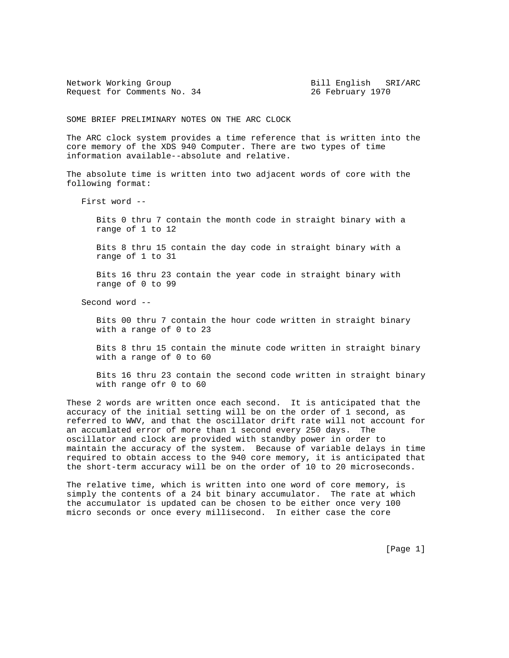Network Working Group **Bill English SRI/ARC** Request for Comments No. 34 26 February 1970

SOME BRIEF PRELIMINARY NOTES ON THE ARC CLOCK

The ARC clock system provides a time reference that is written into the core memory of the XDS 940 Computer. There are two types of time information available--absolute and relative.

The absolute time is written into two adjacent words of core with the following format:

First word --

 Bits 0 thru 7 contain the month code in straight binary with a range of 1 to 12

 Bits 8 thru 15 contain the day code in straight binary with a range of 1 to 31

 Bits 16 thru 23 contain the year code in straight binary with range of 0 to 99

Second word --

 Bits 00 thru 7 contain the hour code written in straight binary with a range of 0 to 23

 Bits 8 thru 15 contain the minute code written in straight binary with a range of 0 to 60

 Bits 16 thru 23 contain the second code written in straight binary with range ofr 0 to 60

These 2 words are written once each second. It is anticipated that the accuracy of the initial setting will be on the order of 1 second, as referred to WWV, and that the oscillator drift rate will not account for an accumlated error of more than 1 second every 250 days. The oscillator and clock are provided with standby power in order to maintain the accuracy of the system. Because of variable delays in time required to obtain access to the 940 core memory, it is anticipated that the short-term accuracy will be on the order of 10 to 20 microseconds.

The relative time, which is written into one word of core memory, is simply the contents of a 24 bit binary accumulator. The rate at which the accumulator is updated can be chosen to be either once very 100 micro seconds or once every millisecond. In either case the core

[Page 1]